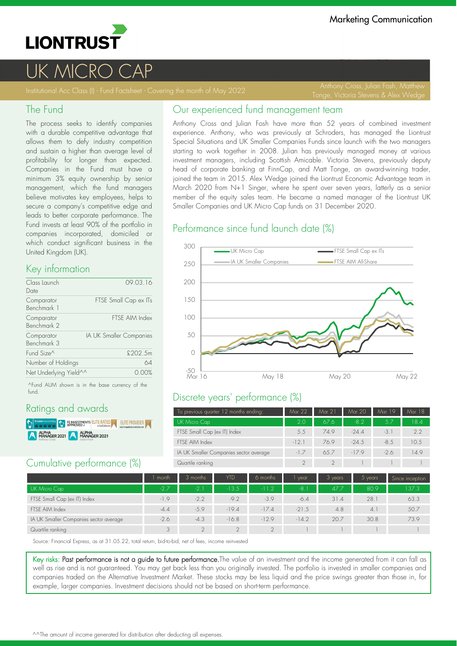

# UK MICRO C

Tonge, Victoria Stevens & Alex Wedge

#### The Fund

The process seeks to identify companies with a durable competitive advantage that allows them to defy industry competition and sustain a higher than average level of profitability for longer than expected. Companies in the Fund must have a minimum 3% equity ownership by senior management, which the fund managers believe motivates key employees, helps to secure a company's competitive edge and leads to better corporate performance. The Fund invests at least 90% of the portfolio in companies incorporated, domiciled or which conduct significant business in the United Kingdom (UK).

#### Key information

| Class Launch<br>Date      | 09.03.16                |
|---------------------------|-------------------------|
| Comparator<br>Benchmark 1 | FTSE Small Cap ex ITs   |
| Comparator<br>Benchmark 2 | FTSE AIM Index          |
| Comparator<br>Benchmark 3 | IA UK Smaller Companies |
| Fund Size <sup>^</sup>    | £202.5m                 |
| Number of Holdings        | 64                      |
| Net Underlying Yield^^    | 0.00%                   |

^Fund AUM shown is in the base currency of the fund.

## Ratings and awards

**DENTISY REPROVED STATED AT SEXUAL PROVIDER** ALPHA<br>MANAGER 2021 ALPHA

## Cumulative performance (%)

## Our experienced fund management team

Anthony Cross and Julian Fosh have more than 52 years of combined investment experience. Anthony, who was previously at Schroders, has managed the Liontrust Special Situations and UK Smaller Companies Funds since launch with the two managers starting to work together in 2008. Julian has previously managed money at various investment managers, including Scottish Amicable. Victoria Stevens, previously deputy head of corporate banking at FinnCap, and Matt Tonge, an award-winning trader, joined the team in 2015. Alex Wedge joined the Liontrust Economic Advantage team in March 2020 from N+1 Singer, where he spent over seven years, latterly as a senior member of the equity sales team. He became a named manager of the Liontrust UK Smaller Companies and UK Micro Cap funds on 31 December 2020.

### Performance since fund launch date (%)



# Discrete years' performance (%)

| To previous quarter 12 months ending:  | Mar 22 | Mar 21 | Mar 20  | Mar 19 | Mar 18 |
|----------------------------------------|--------|--------|---------|--------|--------|
| UK Micro Cap                           | 2.0    | 676    | $-8.2$  | 57     | 18.4   |
| FTSE Small Cap (ex IT) Index           | 5.5    | 749    | $-24.4$ | $-3.1$ | 2.2    |
| FTSE AIM Index                         | $-121$ | 769    | $-24.5$ | $-8.5$ | 10.5   |
| IA UK Smaller Companies sector average | $-17$  | 657    | $-179$  | $-2.6$ | 14.9   |
| Quartile ranking                       |        |        |         |        |        |

|                                        | month  | 3 months | <b>YTD</b> | 6 months | vear    | 3 years | $5$ years | Since inception |
|----------------------------------------|--------|----------|------------|----------|---------|---------|-----------|-----------------|
| UK Micro Cap                           | $-2.7$ | $-2.1$   | $-13.5$    | $-11.2$  | -8.     | 47.7    | 80.9      | 137.3           |
| FTSE Small Cap (ex IT) Index           | $-1.9$ | $-2.2$   | $-9.2$     | $-3.9$   | $-6.4$  | 31.4    | 28.7      | 63.3            |
| FTSE AIM Index                         | $-4.4$ | $-5.9$   | $-194$     | $-17.4$  | $-21.5$ | 4.8     | 4.        | 50.7            |
| IA UK Smaller Companies sector average | $-2.6$ | $-4.3$   | $-16.8$    | $-129$   | $-14.2$ | 20.7    | 30.8      | 73.9            |
| Quartile ranking                       | 3      |          |            | $\cap$   |         |         |           |                 |

Source: Financial Express, as at 31.05.22, total return, bid-to-bid, net of fees, income reinvested

Key risks: Past performance is not a guide to future performance. The value of an investment and the income generated from it can fall as well as rise and is not guaranteed. You may get back less than you originally invested. The portfolio is invested in smaller companies and companies traded on the Alternative Investment Market. These stocks may be less liquid and the price swings greater than those in, for example, larger companies. Investment decisions should not be based on short-term performance.